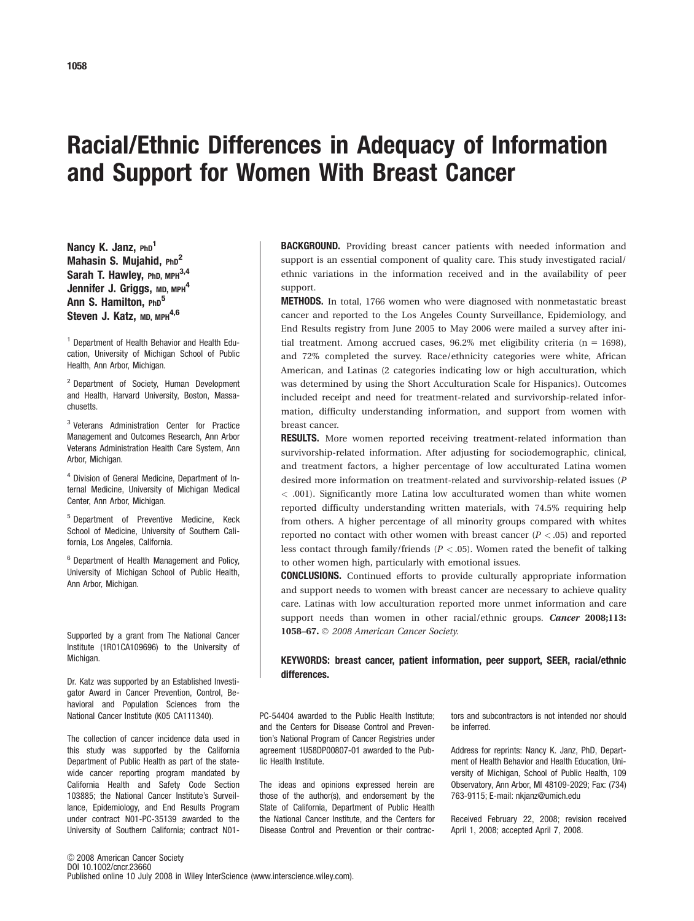# Racial/Ethnic Differences in Adequacy of Information and Support for Women With Breast Cancer

Nancy K. Janz, PhD<sup>1</sup> Mahasin S. Mujahid. Php<sup>2</sup> Sarah T. Hawley, PhD, MPH<sup>3,4</sup> Jennifer J. Griaas, <sub>MD, MPH</sub><sup>4</sup> Ann S. Hamilton, PhD<sup>5</sup> Steven J. Katz, MD, MPH<sup>4,6</sup>

<sup>1</sup> Department of Health Behavior and Health Education, University of Michigan School of Public Health, Ann Arbor, Michigan.

<sup>2</sup> Department of Society, Human Development and Health, Harvard University, Boston, Massachusetts.

<sup>3</sup> Veterans Administration Center for Practice Management and Outcomes Research, Ann Arbor Veterans Administration Health Care System, Ann Arbor, Michigan.

<sup>4</sup> Division of General Medicine, Department of Internal Medicine, University of Michigan Medical Center, Ann Arbor, Michigan.

<sup>5</sup> Department of Preventive Medicine, Keck School of Medicine, University of Southern California, Los Angeles, California.

<sup>6</sup> Department of Health Management and Policy, University of Michigan School of Public Health, Ann Arbor, Michigan.

Supported by a grant from The National Cancer Institute (1R01CA109696) to the University of Michigan.

Dr. Katz was supported by an Established Investigator Award in Cancer Prevention, Control, Behavioral and Population Sciences from the National Cancer Institute (K05 CA111340).

The collection of cancer incidence data used in this study was supported by the California Department of Public Health as part of the statewide cancer reporting program mandated by California Health and Safety Code Section 103885; the National Cancer Institute's Surveillance, Epidemiology, and End Results Program under contract N01-PC-35139 awarded to the University of Southern California; contract N01BACKGROUND. Providing breast cancer patients with needed information and support is an essential component of quality care. This study investigated racial/ ethnic variations in the information received and in the availability of peer support.

METHODS. In total, 1766 women who were diagnosed with nonmetastatic breast cancer and reported to the Los Angeles County Surveillance, Epidemiology, and End Results registry from June 2005 to May 2006 were mailed a survey after initial treatment. Among accrued cases,  $96.2\%$  met eligibility criteria (n = 1698), and 72% completed the survey. Race/ethnicity categories were white, African American, and Latinas (2 categories indicating low or high acculturation, which was determined by using the Short Acculturation Scale for Hispanics). Outcomes included receipt and need for treatment-related and survivorship-related information, difficulty understanding information, and support from women with breast cancer.

RESULTS. More women reported receiving treatment-related information than survivorship-related information. After adjusting for sociodemographic, clinical, and treatment factors, a higher percentage of low acculturated Latina women desired more information on treatment-related and survivorship-related issues (P < .001). Significantly more Latina low acculturated women than white women reported difficulty understanding written materials, with 74.5% requiring help from others. A higher percentage of all minority groups compared with whites reported no contact with other women with breast cancer  $(P < .05)$  and reported less contact through family/friends ( $P < .05$ ). Women rated the benefit of talking to other women high, particularly with emotional issues.

CONCLUSIONS. Continued efforts to provide culturally appropriate information and support needs to women with breast cancer are necessary to achieve quality care. Latinas with low acculturation reported more unmet information and care support needs than women in other racial/ethnic groups. Cancer 2008;113: 1058–67. © 2008 American Cancer Society.

# KEYWORDS: breast cancer, patient information, peer support, SEER, racial/ethnic differences.

PC-54404 awarded to the Public Health Institute; and the Centers for Disease Control and Prevention's National Program of Cancer Registries under agreement 1U58DP00807-01 awarded to the Public Health Institute.

The ideas and opinions expressed herein are those of the author(s), and endorsement by the State of California, Department of Public Health the National Cancer Institute, and the Centers for Disease Control and Prevention or their contractors and subcontractors is not intended nor should be inferred.

Address for reprints: Nancy K. Janz, PhD, Department of Health Behavior and Health Education, University of Michigan, School of Public Health, 109 Observatory, Ann Arbor, MI 48109-2029; Fax: (734) 763-9115; E-mail: nkjanz@umich.edu

Received February 22, 2008; revision received April 1, 2008; accepted April 7, 2008.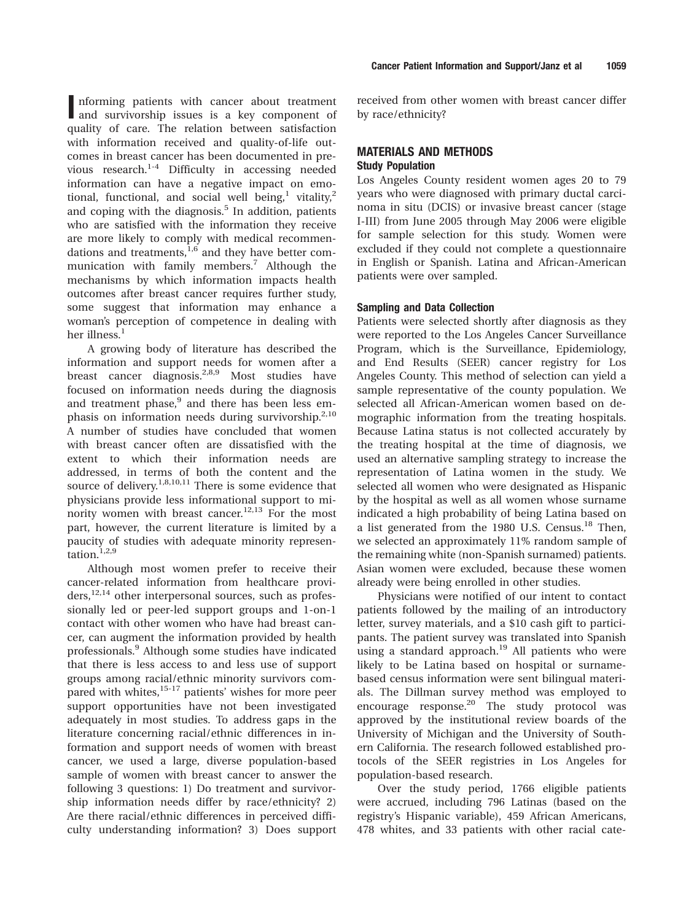I and survivorship issues is a key component of nforming patients with cancer about treatment quality of care. The relation between satisfaction with information received and quality-of-life outcomes in breast cancer has been documented in previous research.<sup>1-4</sup> Difficulty in accessing needed information can have a negative impact on emotional, functional, and social well being,<sup>1</sup> vitality,<sup>2</sup> and coping with the diagnosis. $5 \text{ In addition, patients}$ who are satisfied with the information they receive are more likely to comply with medical recommendations and treatments,  $^{1,6}$  and they have better communication with family members.<sup>7</sup> Although the mechanisms by which information impacts health outcomes after breast cancer requires further study, some suggest that information may enhance a woman's perception of competence in dealing with her illness.<sup>1</sup>

A growing body of literature has described the information and support needs for women after a breast cancer diagnosis.<sup>2,8,9</sup> Most studies have focused on information needs during the diagnosis and treatment phase,<sup>9</sup> and there has been less emphasis on information needs during survivorship. $2,10$ A number of studies have concluded that women with breast cancer often are dissatisfied with the extent to which their information needs are addressed, in terms of both the content and the source of delivery.<sup>1,8,10,11</sup> There is some evidence that physicians provide less informational support to minority women with breast cancer.<sup>12,13</sup> For the most part, however, the current literature is limited by a paucity of studies with adequate minority representation.<sup>1,2,9</sup>

Although most women prefer to receive their cancer-related information from healthcare provi $ders$ ,<sup>12,14</sup> other interpersonal sources, such as professionally led or peer-led support groups and 1-on-1 contact with other women who have had breast cancer, can augment the information provided by health professionals.<sup>9</sup> Although some studies have indicated that there is less access to and less use of support groups among racial/ethnic minority survivors compared with whites,<sup>15-17</sup> patients' wishes for more peer support opportunities have not been investigated adequately in most studies. To address gaps in the literature concerning racial/ethnic differences in information and support needs of women with breast cancer, we used a large, diverse population-based sample of women with breast cancer to answer the following 3 questions: 1) Do treatment and survivorship information needs differ by race/ethnicity? 2) Are there racial/ethnic differences in perceived difficulty understanding information? 3) Does support received from other women with breast cancer differ by race/ethnicity?

# MATERIALS AND METHODS Study Population

Los Angeles County resident women ages 20 to 79 years who were diagnosed with primary ductal carcinoma in situ (DCIS) or invasive breast cancer (stage I-III) from June 2005 through May 2006 were eligible for sample selection for this study. Women were excluded if they could not complete a questionnaire in English or Spanish. Latina and African-American patients were over sampled.

# Sampling and Data Collection

Patients were selected shortly after diagnosis as they were reported to the Los Angeles Cancer Surveillance Program, which is the Surveillance, Epidemiology, and End Results (SEER) cancer registry for Los Angeles County. This method of selection can yield a sample representative of the county population. We selected all African-American women based on demographic information from the treating hospitals. Because Latina status is not collected accurately by the treating hospital at the time of diagnosis, we used an alternative sampling strategy to increase the representation of Latina women in the study. We selected all women who were designated as Hispanic by the hospital as well as all women whose surname indicated a high probability of being Latina based on a list generated from the 1980 U.S. Census.18 Then, we selected an approximately 11% random sample of the remaining white (non-Spanish surnamed) patients. Asian women were excluded, because these women already were being enrolled in other studies.

Physicians were notified of our intent to contact patients followed by the mailing of an introductory letter, survey materials, and a \$10 cash gift to participants. The patient survey was translated into Spanish using a standard approach.<sup>19</sup> All patients who were likely to be Latina based on hospital or surnamebased census information were sent bilingual materials. The Dillman survey method was employed to encourage response.<sup>20</sup> The study protocol was approved by the institutional review boards of the University of Michigan and the University of Southern California. The research followed established protocols of the SEER registries in Los Angeles for population-based research.

Over the study period, 1766 eligible patients were accrued, including 796 Latinas (based on the registry's Hispanic variable), 459 African Americans, 478 whites, and 33 patients with other racial cate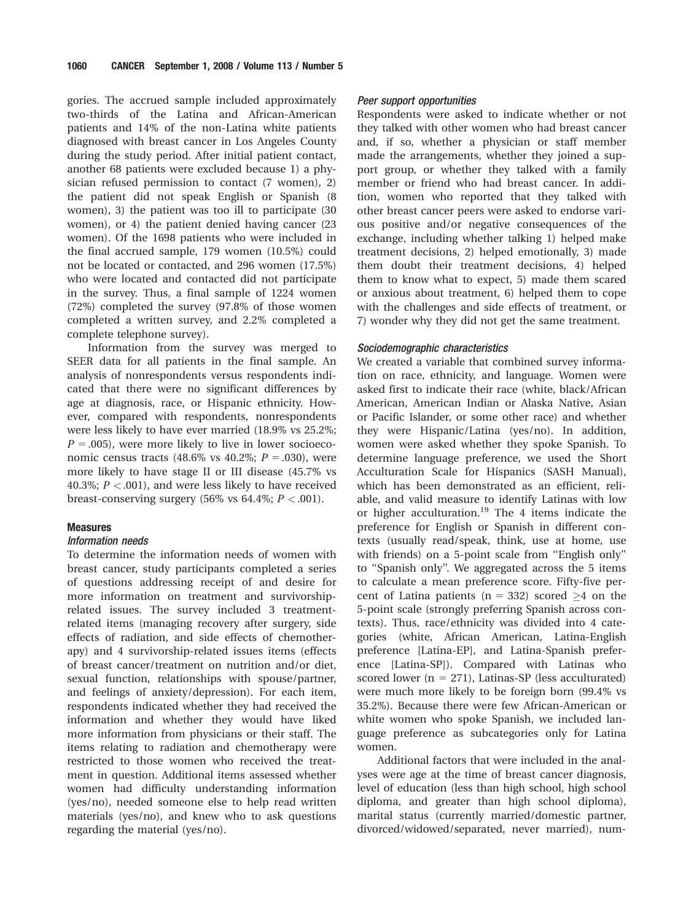gories. The accrued sample included approximately two-thirds of the Latina and African-American patients and 14% of the non-Latina white patients diagnosed with breast cancer in Los Angeles County during the study period. After initial patient contact, another 68 patients were excluded because 1) a physician refused permission to contact (7 women), 2) the patient did not speak English or Spanish (8 women), 3) the patient was too ill to participate (30 women), or 4) the patient denied having cancer (23 women). Of the 1698 patients who were included in the final accrued sample, 179 women (10.5%) could not be located or contacted, and 296 women (17.5%) who were located and contacted did not participate in the survey. Thus, a final sample of 1224 women (72%) completed the survey (97.8% of those women completed a written survey, and 2.2% completed a complete telephone survey).

Information from the survey was merged to SEER data for all patients in the final sample. An analysis of nonrespondents versus respondents indicated that there were no significant differences by age at diagnosis, race, or Hispanic ethnicity. However, compared with respondents, nonrespondents were less likely to have ever married (18.9% vs 25.2%;  $P = .005$ ), were more likely to live in lower socioeconomic census tracts (48.6% vs 40.2%;  $P = .030$ ), were more likely to have stage II or III disease (45.7% vs 40.3%;  $P < .001$ ), and were less likely to have received breast-conserving surgery  $(56\% \text{ vs } 64.4\%; P < .001)$ .

## **Measures**

#### Information needs

To determine the information needs of women with breast cancer, study participants completed a series of questions addressing receipt of and desire for more information on treatment and survivorshiprelated issues. The survey included 3 treatmentrelated items (managing recovery after surgery, side effects of radiation, and side effects of chemotherapy) and 4 survivorship-related issues items (effects of breast cancer/treatment on nutrition and/or diet, sexual function, relationships with spouse/partner, and feelings of anxiety/depression). For each item, respondents indicated whether they had received the information and whether they would have liked more information from physicians or their staff. The items relating to radiation and chemotherapy were restricted to those women who received the treatment in question. Additional items assessed whether women had difficulty understanding information (yes/no), needed someone else to help read written materials (yes/no), and knew who to ask questions regarding the material (yes/no).

#### Peer support opportunities

Respondents were asked to indicate whether or not they talked with other women who had breast cancer and, if so, whether a physician or staff member made the arrangements, whether they joined a support group, or whether they talked with a family member or friend who had breast cancer. In addition, women who reported that they talked with other breast cancer peers were asked to endorse various positive and/or negative consequences of the exchange, including whether talking 1) helped make treatment decisions, 2) helped emotionally, 3) made them doubt their treatment decisions, 4) helped them to know what to expect, 5) made them scared or anxious about treatment, 6) helped them to cope with the challenges and side effects of treatment, or 7) wonder why they did not get the same treatment.

### Sociodemographic characteristics

We created a variable that combined survey information on race, ethnicity, and language. Women were asked first to indicate their race (white, black/African American, American Indian or Alaska Native, Asian or Pacific Islander, or some other race) and whether they were Hispanic/Latina (yes/no). In addition, women were asked whether they spoke Spanish. To determine language preference, we used the Short Acculturation Scale for Hispanics (SASH Manual), which has been demonstrated as an efficient, reliable, and valid measure to identify Latinas with low or higher acculturation.<sup>19</sup> The 4 items indicate the preference for English or Spanish in different contexts (usually read/speak, think, use at home, use with friends) on a 5-point scale from ''English only'' to ''Spanish only''. We aggregated across the 5 items to calculate a mean preference score. Fifty-five percent of Latina patients ( $n = 332$ ) scored  $>4$  on the 5-point scale (strongly preferring Spanish across contexts). Thus, race/ethnicity was divided into 4 categories (white, African American, Latina-English preference [Latina-EP], and Latina-Spanish preference [Latina-SP]). Compared with Latinas who scored lower ( $n = 271$ ), Latinas-SP (less acculturated) were much more likely to be foreign born (99.4% vs 35.2%). Because there were few African-American or white women who spoke Spanish, we included language preference as subcategories only for Latina women.

Additional factors that were included in the analyses were age at the time of breast cancer diagnosis, level of education (less than high school, high school diploma, and greater than high school diploma), marital status (currently married/domestic partner, divorced/widowed/separated, never married), num-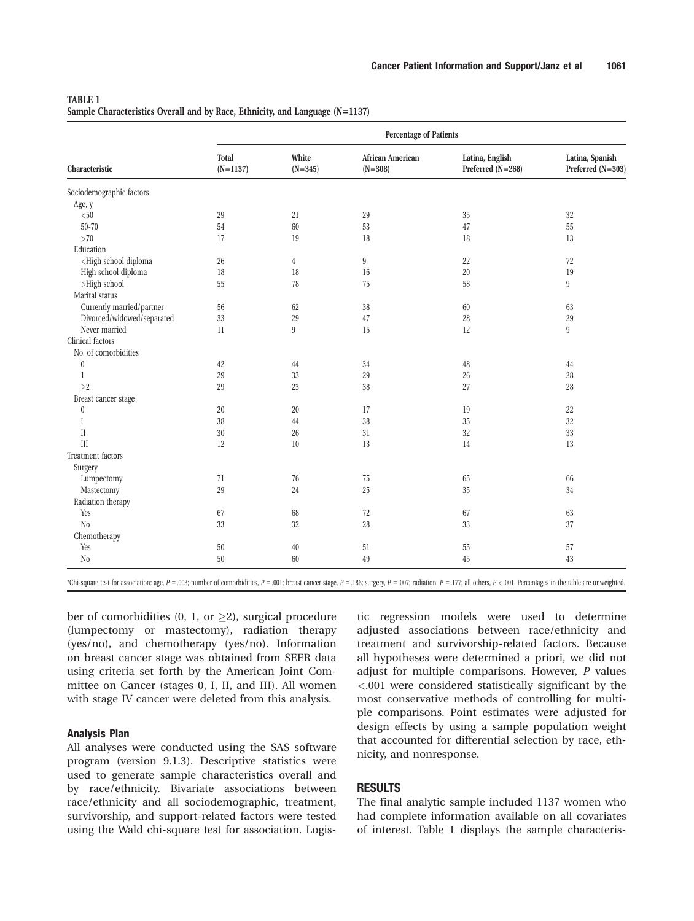| <b>TABLE 1</b>                                                                 |  |
|--------------------------------------------------------------------------------|--|
| Sample Characteristics Overall and by Race, Ethnicity, and Language $(N=1137)$ |  |

|                                                                                                                        | <b>Percentage of Patients</b> |                    |                                      |                                      |                                      |  |  |
|------------------------------------------------------------------------------------------------------------------------|-------------------------------|--------------------|--------------------------------------|--------------------------------------|--------------------------------------|--|--|
| Characteristic                                                                                                         | <b>Total</b><br>$(N=1137)$    | White<br>$(N=345)$ | <b>African American</b><br>$(N=308)$ | Latina, English<br>Preferred (N=268) | Latina, Spanish<br>Preferred (N=303) |  |  |
| Sociodemographic factors                                                                                               |                               |                    |                                      |                                      |                                      |  |  |
| Age, y                                                                                                                 |                               |                    |                                      |                                      |                                      |  |  |
| $50$                                                                                                                   | 29                            | 21                 | 29                                   | 35                                   | 32                                   |  |  |
| $50 - 70$                                                                                                              | 54                            | 60                 | 53                                   | 47                                   | 55                                   |  |  |
| ${>}70$                                                                                                                | 17                            | 19                 | 18                                   | 18                                   | 13                                   |  |  |
| Education                                                                                                              |                               |                    |                                      |                                      |                                      |  |  |
| <high diploma<="" school="" td=""><td>26</td><td><math>\overline{4}</math></td><td>9</td><td>22</td><td>72</td></high> | 26                            | $\overline{4}$     | 9                                    | 22                                   | 72                                   |  |  |
| High school diploma                                                                                                    | 18                            | 18                 | 16                                   | 20                                   | 19                                   |  |  |
| >High school                                                                                                           | 55                            | 78                 | 75                                   | 58                                   | 9                                    |  |  |
| Marital status                                                                                                         |                               |                    |                                      |                                      |                                      |  |  |
| Currently married/partner                                                                                              | 56                            | 62                 | 38                                   | 60                                   | 63                                   |  |  |
| Divorced/widowed/separated                                                                                             | 33                            | $29\,$             | 47                                   | 28                                   | 29                                   |  |  |
| Never married                                                                                                          | 11                            | $\overline{9}$     | 15                                   | 12                                   | 9                                    |  |  |
| Clinical factors                                                                                                       |                               |                    |                                      |                                      |                                      |  |  |
| No. of comorbidities                                                                                                   |                               |                    |                                      |                                      |                                      |  |  |
| $\boldsymbol{0}$                                                                                                       | 42                            | 44                 | 34                                   | 48                                   | 44                                   |  |  |
| $\mathbf{1}$                                                                                                           | 29                            | 33                 | $29\,$                               | 26                                   | 28                                   |  |  |
| $\geq$ 2                                                                                                               | 29                            | 23                 | 38                                   | 27                                   | 28                                   |  |  |
| Breast cancer stage                                                                                                    |                               |                    |                                      |                                      |                                      |  |  |
| $\boldsymbol{0}$                                                                                                       | 20                            | 20                 | 17                                   | 19                                   | 22                                   |  |  |
| $\mathbf I$                                                                                                            | 38                            | 44                 | 38                                   | 35                                   | 32                                   |  |  |
| $\rm{II}$                                                                                                              | 30                            | 26                 | 31                                   | 32                                   | 33                                   |  |  |
| $\mathop{\rm III}\nolimits$                                                                                            | 12                            | 10                 | 13                                   | 14                                   | 13                                   |  |  |
| <b>Treatment</b> factors                                                                                               |                               |                    |                                      |                                      |                                      |  |  |
| Surgery                                                                                                                |                               |                    |                                      |                                      |                                      |  |  |
| Lumpectomy                                                                                                             | 71                            | 76                 | 75                                   | 65                                   | 66                                   |  |  |
| Mastectomy                                                                                                             | 29                            | 24                 | 25                                   | 35                                   | 34                                   |  |  |
| Radiation therapy                                                                                                      |                               |                    |                                      |                                      |                                      |  |  |
| Yes                                                                                                                    | 67                            | 68                 | 72                                   | 67                                   | 63                                   |  |  |
| No                                                                                                                     | 33                            | 32                 | 28                                   | 33                                   | 37                                   |  |  |
| Chemotherapy                                                                                                           |                               |                    |                                      |                                      |                                      |  |  |
| Yes                                                                                                                    | 50                            | 40                 | 51                                   | 55                                   | 57                                   |  |  |
| $\rm No$                                                                                                               | 50                            | 60                 | 49                                   | 45                                   | 43                                   |  |  |

\*Chi-square test for association: age, P = .003; number of comorbidities, P = .001; breast cancer stage, P = .186; surgery, P = .007; radiation. P = .177; all others, P < .001. Percentages in the table are unweighted.

ber of comorbidities  $(0, 1, 0r > 2)$ , surgical procedure (lumpectomy or mastectomy), radiation therapy (yes/no), and chemotherapy (yes/no). Information on breast cancer stage was obtained from SEER data using criteria set forth by the American Joint Committee on Cancer (stages 0, I, II, and III). All women with stage IV cancer were deleted from this analysis.

## Analysis Plan

All analyses were conducted using the SAS software program (version 9.1.3). Descriptive statistics were used to generate sample characteristics overall and by race/ethnicity. Bivariate associations between race/ethnicity and all sociodemographic, treatment, survivorship, and support-related factors were tested using the Wald chi-square test for association. Logistic regression models were used to determine adjusted associations between race/ethnicity and treatment and survivorship-related factors. Because all hypotheses were determined a priori, we did not adjust for multiple comparisons. However, P values <.001 were considered statistically significant by the most conservative methods of controlling for multiple comparisons. Point estimates were adjusted for design effects by using a sample population weight that accounted for differential selection by race, ethnicity, and nonresponse.

# RESULTS

The final analytic sample included 1137 women who had complete information available on all covariates of interest. Table 1 displays the sample characteris-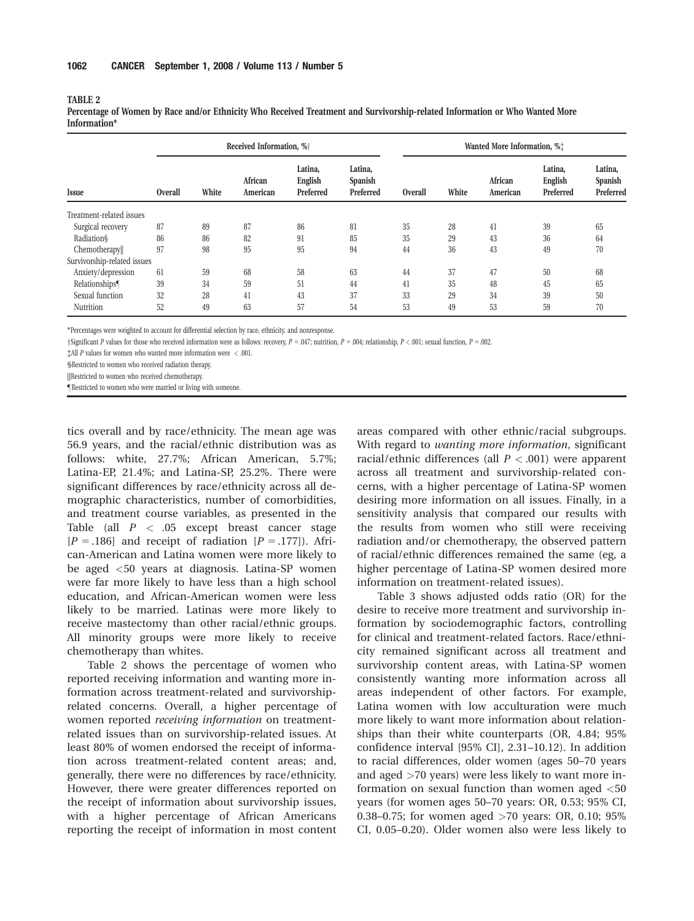#### TABLE 2

Percentage of Women by Race and/or Ethnicity Who Received Treatment and Survivorship-related Information or Who Wanted More Information\*

|                             |                | Received Information, %+ |                     |                                 |                                 | Wanted More Information, % <sup>†</sup> |       |                     |                                 |                                        |
|-----------------------------|----------------|--------------------------|---------------------|---------------------------------|---------------------------------|-----------------------------------------|-------|---------------------|---------------------------------|----------------------------------------|
| <b>Issue</b>                | <b>Overall</b> | White                    | African<br>American | Latina,<br>English<br>Preferred | Latina,<br>Spanish<br>Preferred | <b>Overall</b>                          | White | African<br>American | Latina,<br>English<br>Preferred | Latina,<br><b>Spanish</b><br>Preferred |
| Treatment-related issues    |                |                          |                     |                                 |                                 |                                         |       |                     |                                 |                                        |
| Surgical recovery           | 87             | 89                       | 87                  | 86                              | 81                              | 35                                      | 28    | 41                  | 39                              | 65                                     |
| Radiation                   | 86             | 86                       | 82                  | 91                              | 85                              | 35                                      | 29    | 43                  | 36                              | 64                                     |
| Chemotherapy                | 97             | 98                       | 95                  | 95                              | 94                              | 44                                      | 36    | 43                  | 49                              | 70                                     |
| Survivorship-related issues |                |                          |                     |                                 |                                 |                                         |       |                     |                                 |                                        |
| Anxiety/depression          | 61             | 59                       | 68                  | 58                              | 63                              | 44                                      | 37    | 47                  | 50                              | 68                                     |
| Relationships               | 39             | 34                       | 59                  | 51                              | 44                              | 41                                      | 35    | 48                  | 45                              | 65                                     |
| Sexual function             | 32             | 28                       | 41                  | 43                              | 37                              | 33                                      | 29    | 34                  | 39                              | 50                                     |
| Nutrition                   | 52             | 49                       | 63                  | 57                              | 54                              | 53                                      | 49    | 53                  | 59                              | 70                                     |

\*Percentages were weighted to account for differential selection by race, ethnicity, and nonresponse.

 $\dagger$ Significant P values for those who received information were as follows: recovery, P = .047; nutrition, P = .004; relationship, P < .001; sexual function, P = .002.

 $\ddagger$ All P values for women who wanted more information were < .001.

§Restricted to women who received radiation therapy.

||Restricted to women who received chemotherapy.

**IRestricted to women who were married or living with someone.** 

tics overall and by race/ethnicity. The mean age was 56.9 years, and the racial/ethnic distribution was as follows: white, 27.7%; African American, 5.7%; Latina-EP, 21.4%; and Latina-SP, 25.2%. There were significant differences by race/ethnicity across all demographic characteristics, number of comorbidities, and treatment course variables, as presented in the Table (all  $P < .05$  except breast cancer stage  $[P = .186]$  and receipt of radiation  $[P = .177]$ ). African-American and Latina women were more likely to be aged <50 years at diagnosis. Latina-SP women were far more likely to have less than a high school education, and African-American women were less likely to be married. Latinas were more likely to receive mastectomy than other racial/ethnic groups. All minority groups were more likely to receive chemotherapy than whites.

Table 2 shows the percentage of women who reported receiving information and wanting more information across treatment-related and survivorshiprelated concerns. Overall, a higher percentage of women reported receiving information on treatmentrelated issues than on survivorship-related issues. At least 80% of women endorsed the receipt of information across treatment-related content areas; and, generally, there were no differences by race/ethnicity. However, there were greater differences reported on the receipt of information about survivorship issues, with a higher percentage of African Americans reporting the receipt of information in most content

areas compared with other ethnic/racial subgroups. With regard to wanting more information, significant racial/ethnic differences (all  $P < .001$ ) were apparent across all treatment and survivorship-related concerns, with a higher percentage of Latina-SP women desiring more information on all issues. Finally, in a sensitivity analysis that compared our results with the results from women who still were receiving radiation and/or chemotherapy, the observed pattern of racial/ethnic differences remained the same (eg, a higher percentage of Latina-SP women desired more information on treatment-related issues).

Table 3 shows adjusted odds ratio (OR) for the desire to receive more treatment and survivorship information by sociodemographic factors, controlling for clinical and treatment-related factors. Race/ethnicity remained significant across all treatment and survivorship content areas, with Latina-SP women consistently wanting more information across all areas independent of other factors. For example, Latina women with low acculturation were much more likely to want more information about relationships than their white counterparts (OR, 4.84; 95% confidence interval [95% CI], 2.31–10.12). In addition to racial differences, older women (ages 50–70 years and aged >70 years) were less likely to want more information on sexual function than women aged  $<$  50 years (for women ages 50–70 years: OR, 0.53; 95% CI, 0.38–0.75; for women aged >70 years: OR, 0.10; 95% CI, 0.05–0.20). Older women also were less likely to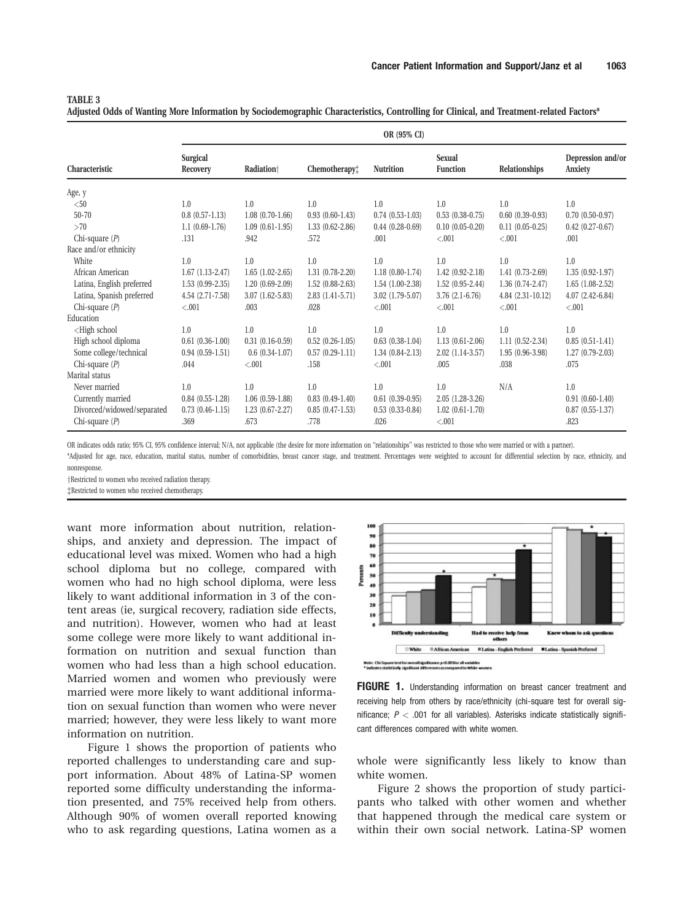#### TABLE 3

Adjusted Odds of Wanting More Information by Sociodemographic Characteristics, Controlling for Clinical, and Treatment-related Factors\*

|                                                                                                                    | OR (95% CI)                 |                        |                     |                     |                                  |                      |                              |  |
|--------------------------------------------------------------------------------------------------------------------|-----------------------------|------------------------|---------------------|---------------------|----------------------------------|----------------------|------------------------------|--|
| Characteristic                                                                                                     | <b>Surgical</b><br>Recovery | Radiation <sup>+</sup> | Chemotherapy:       | <b>Nutrition</b>    | <b>Sexual</b><br><b>Function</b> | <b>Relationships</b> | Depression and/or<br>Anxiety |  |
| Age, y                                                                                                             |                             |                        |                     |                     |                                  |                      |                              |  |
| $50$                                                                                                               | 1.0                         | 1.0                    | 1.0                 | 1.0                 | 1.0                              | 1.0                  | 1.0                          |  |
| 50-70                                                                                                              | $0.8(0.57-1.13)$            | $1.08(0.70-1.66)$      | $0.93(0.60-1.43)$   | $0.74(0.53-1.03)$   | $0.53(0.38-0.75)$                | $0.60(0.39-0.93)$    | $0.70(0.50-0.97)$            |  |
| >70                                                                                                                | $1.1(0.69-1.76)$            | $1.09(0.61-1.95)$      | $1.33(0.62 - 2.86)$ | $0.44(0.28-0.69)$   | $0.10(0.05-0.20)$                | $0.11(0.05-0.25)$    | $0.42$ $(0.27 - 0.67)$       |  |
| Chi-square $(P)$                                                                                                   | .131                        | .942                   | .572                | .001                | $-.001$                          | $-.001$              | .001                         |  |
| Race and/or ethnicity                                                                                              |                             |                        |                     |                     |                                  |                      |                              |  |
| White                                                                                                              | 1.0                         | 1.0                    | 1.0                 | 1.0                 | 1.0                              | 1.0                  | 1.0                          |  |
| African American                                                                                                   | $1.67$ $(1.13-2.47)$        | $1.65(1.02-2.65)$      | $1.31(0.78-2.20)$   | $1.18(0.80-1.74)$   | $1.42(0.92 - 2.18)$              | $1.41(0.73-2.69)$    | $1.35(0.92-1.97)$            |  |
| Latina, English preferred                                                                                          | $1.53(0.99-2.35)$           | $1.20(0.69-2.09)$      | $1.52(0.88-2.63)$   | $1.54(1.00-2.38)$   | $1.52(0.95-2.44)$                | $1.36(0.74 - 2.47)$  | $1.65(1.08-2.52)$            |  |
| Latina, Spanish preferred                                                                                          | $4.54(2.71 - 7.58)$         | $3.07(1.62 - 5.83)$    | $2.83(1.41-5.71)$   | $3.02(1.79-5.07)$   | $3.76(2.1-6.76)$                 | $4.84(2.31-10.12)$   | $4.07(2.42 - 6.84)$          |  |
| Chi-square $(P)$                                                                                                   | $<0.01$                     | .003                   | .028                | < .001              | < .001                           | $-.001$              | < .001                       |  |
| Education                                                                                                          |                             |                        |                     |                     |                                  |                      |                              |  |
| <high school<="" td=""><td>1.0</td><td>1.0</td><td>1.0</td><td>1.0</td><td>1.0</td><td>1.0</td><td>1.0</td></high> | 1.0                         | 1.0                    | 1.0                 | 1.0                 | 1.0                              | 1.0                  | 1.0                          |  |
| High school diploma                                                                                                | $0.61(0.36-1.00)$           | $0.31(0.16-0.59)$      | $0.52(0.26-1.05)$   | $0.63(0.38-1.04)$   | $1.13(0.61-2.06)$                | $1.11(0.52 - 2.34)$  | $0.85(0.51-1.41)$            |  |
| Some college/technical                                                                                             | $0.94(0.59-1.51)$           | $0.6(0.34-1.07)$       | $0.57(0.29-1.11)$   | $1.34(0.84 - 2.13)$ | $2.02(1.14-3.57)$                | $1.95(0.96-3.98)$    | $1.27(0.79-2.03)$            |  |
| Chi-square $(P)$                                                                                                   | .044                        | < .001                 | .158                | < .001              | .005                             | .038                 | .075                         |  |
| Marital status                                                                                                     |                             |                        |                     |                     |                                  |                      |                              |  |
| Never married                                                                                                      | 1.0                         | 1.0                    | 1.0                 | 1.0                 | 1.0                              | N/A                  | 1.0                          |  |
| Currently married                                                                                                  | $0.84$ $(0.55 - 1.28)$      | $1.06(0.59-1.88)$      | $0.83(0.49-1.40)$   | $0.61(0.39-0.95)$   | $2.05(1.28-3.26)$                |                      | $0.91(0.60-1.40)$            |  |
| Divorced/widowed/separated                                                                                         | $0.73(0.46-1.15)$           | $1.23(0.67 - 2.27)$    | $0.85(0.47-1.53)$   | $0.53(0.33-0.84)$   | $1.02(0.61-1.70)$                |                      | $0.87$ $(0.55-1.37)$         |  |
| Chi-square $(P)$                                                                                                   | .369                        | .673                   | .778                | .026                | $-.001$                          |                      | .823                         |  |

OR indicates odds ratio; 95% CI, 95% confidence interval; N/A, not applicable (the desire for more information on ''relationships'' was restricted to those who were married or with a partner). \*Adjusted for age, race, education, marital status, number of comorbidities, breast cancer stage, and treatment. Percentages were weighted to account for differential selection by race, ethnicity, and

nonresponse.

yRestricted to women who received radiation therapy.

{Restricted to women who received chemotherapy.

want more information about nutrition, relationships, and anxiety and depression. The impact of educational level was mixed. Women who had a high school diploma but no college, compared with women who had no high school diploma, were less likely to want additional information in 3 of the content areas (ie, surgical recovery, radiation side effects, and nutrition). However, women who had at least some college were more likely to want additional information on nutrition and sexual function than women who had less than a high school education. Married women and women who previously were married were more likely to want additional information on sexual function than women who were never married; however, they were less likely to want more information on nutrition.

Figure 1 shows the proportion of patients who reported challenges to understanding care and support information. About 48% of Latina-SP women reported some difficulty understanding the information presented, and 75% received help from others. Although 90% of women overall reported knowing who to ask regarding questions, Latina women as a



FIGURE 1. Understanding information on breast cancer treatment and receiving help from others by race/ethnicity (chi-square test for overall significance;  $P < .001$  for all variables). Asterisks indicate statistically significant differences compared with white women.

whole were significantly less likely to know than white women.

Figure 2 shows the proportion of study participants who talked with other women and whether that happened through the medical care system or within their own social network. Latina-SP women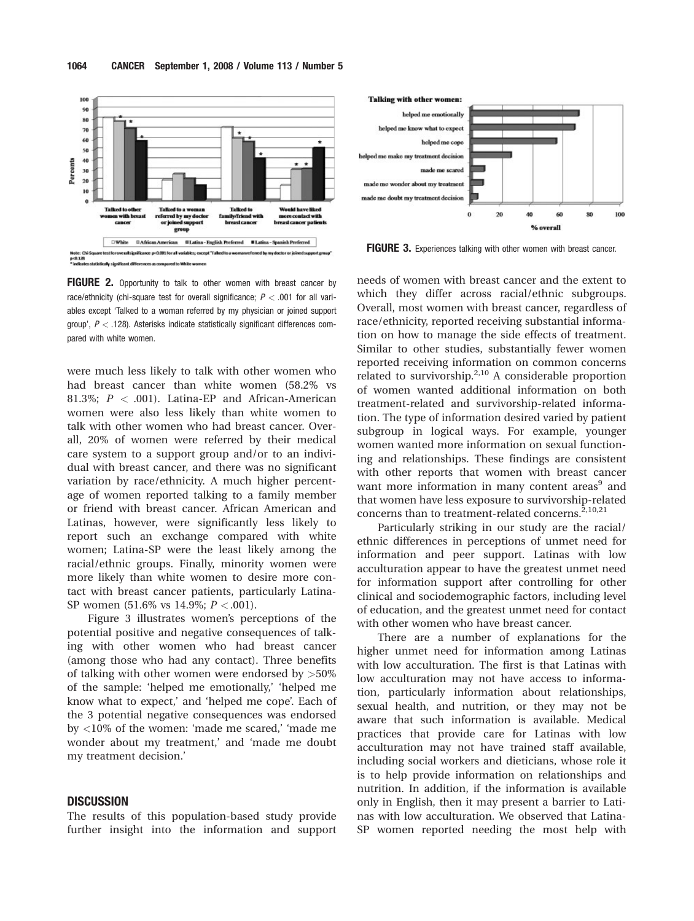

FIGURE 2. Opportunity to talk to other women with breast cancer by race/ethnicity (chi-square test for overall significance;  $P < .001$  for all variables except 'Talked to a woman referred by my physician or joined support group',  $P <$  .128). Asterisks indicate statistically significant differences compared with white women.

were much less likely to talk with other women who had breast cancer than white women (58.2% vs 81.3%;  $P < .001$ ). Latina-EP and African-American women were also less likely than white women to talk with other women who had breast cancer. Overall, 20% of women were referred by their medical care system to a support group and/or to an individual with breast cancer, and there was no significant variation by race/ethnicity. A much higher percentage of women reported talking to a family member or friend with breast cancer. African American and Latinas, however, were significantly less likely to report such an exchange compared with white women; Latina-SP were the least likely among the racial/ethnic groups. Finally, minority women were more likely than white women to desire more contact with breast cancer patients, particularly Latina-SP women  $(51.6\% \text{ vs } 14.9\%; P < .001)$ .

Figure 3 illustrates women's perceptions of the potential positive and negative consequences of talking with other women who had breast cancer (among those who had any contact). Three benefits of talking with other women were endorsed by  $>50\%$ of the sample: 'helped me emotionally,' 'helped me know what to expect,' and 'helped me cope'. Each of the 3 potential negative consequences was endorsed by <10% of the women: 'made me scared,' 'made me wonder about my treatment,' and 'made me doubt my treatment decision.'

# **DISCUSSION**

The results of this population-based study provide further insight into the information and support



FIGURE 3. Experiences talking with other women with breast cancer.

needs of women with breast cancer and the extent to which they differ across racial/ethnic subgroups. Overall, most women with breast cancer, regardless of race/ethnicity, reported receiving substantial information on how to manage the side effects of treatment. Similar to other studies, substantially fewer women reported receiving information on common concerns related to survivorship.<sup>2,10</sup> A considerable proportion of women wanted additional information on both treatment-related and survivorship-related information. The type of information desired varied by patient subgroup in logical ways. For example, younger women wanted more information on sexual functioning and relationships. These findings are consistent with other reports that women with breast cancer want more information in many content areas<sup>9</sup> and that women have less exposure to survivorship-related concerns than to treatment-related concerns.<sup>2,10,21</sup>

Particularly striking in our study are the racial/ ethnic differences in perceptions of unmet need for information and peer support. Latinas with low acculturation appear to have the greatest unmet need for information support after controlling for other clinical and sociodemographic factors, including level of education, and the greatest unmet need for contact with other women who have breast cancer.

There are a number of explanations for the higher unmet need for information among Latinas with low acculturation. The first is that Latinas with low acculturation may not have access to information, particularly information about relationships, sexual health, and nutrition, or they may not be aware that such information is available. Medical practices that provide care for Latinas with low acculturation may not have trained staff available, including social workers and dieticians, whose role it is to help provide information on relationships and nutrition. In addition, if the information is available only in English, then it may present a barrier to Latinas with low acculturation. We observed that Latina-SP women reported needing the most help with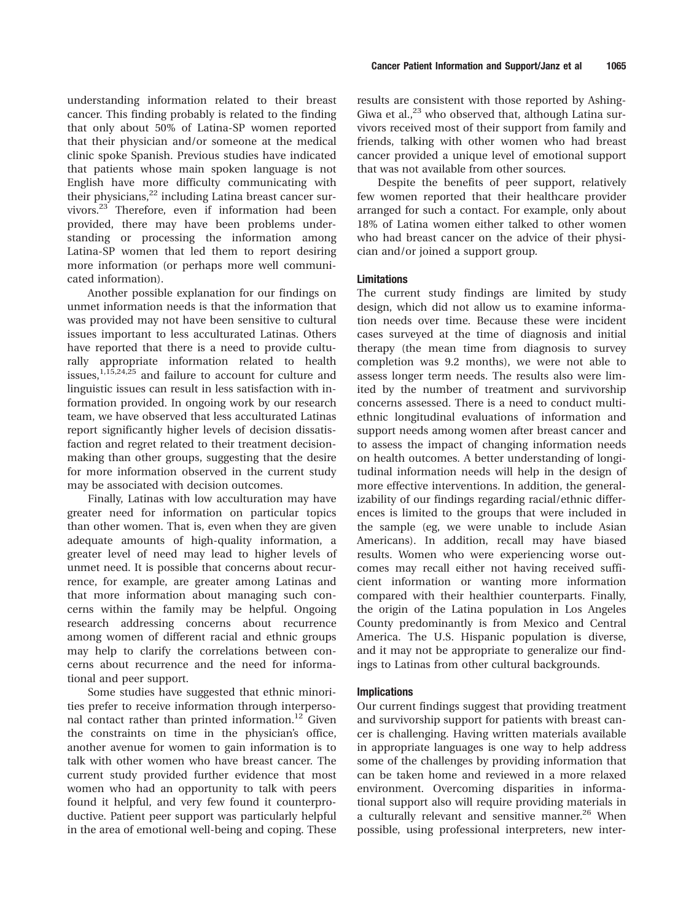understanding information related to their breast cancer. This finding probably is related to the finding that only about 50% of Latina-SP women reported that their physician and/or someone at the medical clinic spoke Spanish. Previous studies have indicated that patients whose main spoken language is not English have more difficulty communicating with their physicians,<sup>22</sup> including Latina breast cancer survivors.<sup>23</sup> Therefore, even if information had been provided, there may have been problems understanding or processing the information among Latina-SP women that led them to report desiring more information (or perhaps more well communicated information).

Another possible explanation for our findings on unmet information needs is that the information that was provided may not have been sensitive to cultural issues important to less acculturated Latinas. Others have reported that there is a need to provide culturally appropriate information related to health issues, $\frac{1}{1,15,24,25}$  and failure to account for culture and linguistic issues can result in less satisfaction with information provided. In ongoing work by our research team, we have observed that less acculturated Latinas report significantly higher levels of decision dissatisfaction and regret related to their treatment decisionmaking than other groups, suggesting that the desire for more information observed in the current study may be associated with decision outcomes.

Finally, Latinas with low acculturation may have greater need for information on particular topics than other women. That is, even when they are given adequate amounts of high-quality information, a greater level of need may lead to higher levels of unmet need. It is possible that concerns about recurrence, for example, are greater among Latinas and that more information about managing such concerns within the family may be helpful. Ongoing research addressing concerns about recurrence among women of different racial and ethnic groups may help to clarify the correlations between concerns about recurrence and the need for informational and peer support.

Some studies have suggested that ethnic minorities prefer to receive information through interpersonal contact rather than printed information.<sup>12</sup> Given the constraints on time in the physician's office, another avenue for women to gain information is to talk with other women who have breast cancer. The current study provided further evidence that most women who had an opportunity to talk with peers found it helpful, and very few found it counterproductive. Patient peer support was particularly helpful in the area of emotional well-being and coping. These results are consistent with those reported by Ashing-Giwa et al., $^{23}$  who observed that, although Latina survivors received most of their support from family and friends, talking with other women who had breast cancer provided a unique level of emotional support that was not available from other sources.

Despite the benefits of peer support, relatively few women reported that their healthcare provider arranged for such a contact. For example, only about 18% of Latina women either talked to other women who had breast cancer on the advice of their physician and/or joined a support group.

## Limitations

The current study findings are limited by study design, which did not allow us to examine information needs over time. Because these were incident cases surveyed at the time of diagnosis and initial therapy (the mean time from diagnosis to survey completion was 9.2 months), we were not able to assess longer term needs. The results also were limited by the number of treatment and survivorship concerns assessed. There is a need to conduct multiethnic longitudinal evaluations of information and support needs among women after breast cancer and to assess the impact of changing information needs on health outcomes. A better understanding of longitudinal information needs will help in the design of more effective interventions. In addition, the generalizability of our findings regarding racial/ethnic differences is limited to the groups that were included in the sample (eg, we were unable to include Asian Americans). In addition, recall may have biased results. Women who were experiencing worse outcomes may recall either not having received sufficient information or wanting more information compared with their healthier counterparts. Finally, the origin of the Latina population in Los Angeles County predominantly is from Mexico and Central America. The U.S. Hispanic population is diverse, and it may not be appropriate to generalize our findings to Latinas from other cultural backgrounds.

## Implications

Our current findings suggest that providing treatment and survivorship support for patients with breast cancer is challenging. Having written materials available in appropriate languages is one way to help address some of the challenges by providing information that can be taken home and reviewed in a more relaxed environment. Overcoming disparities in informational support also will require providing materials in a culturally relevant and sensitive manner.<sup>26</sup> When possible, using professional interpreters, new inter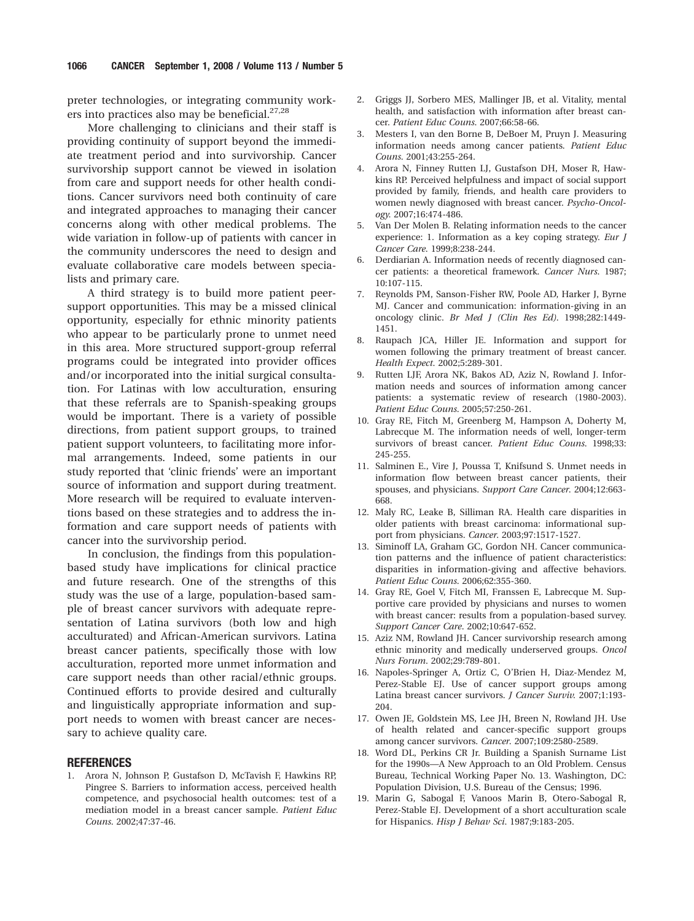preter technologies, or integrating community workers into practices also may be beneficial. $27,28$ 

More challenging to clinicians and their staff is providing continuity of support beyond the immediate treatment period and into survivorship. Cancer survivorship support cannot be viewed in isolation from care and support needs for other health conditions. Cancer survivors need both continuity of care and integrated approaches to managing their cancer concerns along with other medical problems. The wide variation in follow-up of patients with cancer in the community underscores the need to design and evaluate collaborative care models between specialists and primary care.

A third strategy is to build more patient peersupport opportunities. This may be a missed clinical opportunity, especially for ethnic minority patients who appear to be particularly prone to unmet need in this area. More structured support-group referral programs could be integrated into provider offices and/or incorporated into the initial surgical consultation. For Latinas with low acculturation, ensuring that these referrals are to Spanish-speaking groups would be important. There is a variety of possible directions, from patient support groups, to trained patient support volunteers, to facilitating more informal arrangements. Indeed, some patients in our study reported that 'clinic friends' were an important source of information and support during treatment. More research will be required to evaluate interventions based on these strategies and to address the information and care support needs of patients with cancer into the survivorship period.

In conclusion, the findings from this populationbased study have implications for clinical practice and future research. One of the strengths of this study was the use of a large, population-based sample of breast cancer survivors with adequate representation of Latina survivors (both low and high acculturated) and African-American survivors. Latina breast cancer patients, specifically those with low acculturation, reported more unmet information and care support needs than other racial/ethnic groups. Continued efforts to provide desired and culturally and linguistically appropriate information and support needs to women with breast cancer are necessary to achieve quality care.

#### REFERENCES

1. Arora N, Johnson P, Gustafson D, McTavish F, Hawkins RP, Pingree S. Barriers to information access, perceived health competence, and psychosocial health outcomes: test of a mediation model in a breast cancer sample. Patient Educ Couns. 2002;47:37-46.

- 2. Griggs JJ, Sorbero MES, Mallinger JB, et al. Vitality, mental health, and satisfaction with information after breast cancer. Patient Educ Couns. 2007;66:58-66.
- 3. Mesters I, van den Borne B, DeBoer M, Pruyn J. Measuring information needs among cancer patients. Patient Educ Couns. 2001;43:255-264.
- 4. Arora N, Finney Rutten LJ, Gustafson DH, Moser R, Hawkins RP. Perceived helpfulness and impact of social support provided by family, friends, and health care providers to women newly diagnosed with breast cancer. Psycho-Oncology. 2007;16:474-486.
- 5. Van Der Molen B. Relating information needs to the cancer experience: 1. Information as a key coping strategy. Eur J Cancer Care. 1999;8:238-244.
- 6. Derdiarian A. Information needs of recently diagnosed cancer patients: a theoretical framework. Cancer Nurs. 1987; 10:107-115.
- 7. Reynolds PM, Sanson-Fisher RW, Poole AD, Harker J, Byrne MJ. Cancer and communication: information-giving in an oncology clinic. Br Med J (Clin Res Ed). 1998;282:1449- 1451.
- 8. Raupach JCA, Hiller JE. Information and support for women following the primary treatment of breast cancer. Health Expect. 2002;5:289-301.
- 9. Rutten LJF, Arora NK, Bakos AD, Aziz N, Rowland J. Information needs and sources of information among cancer patients: a systematic review of research (1980-2003). Patient Educ Couns. 2005;57:250-261.
- 10. Gray RE, Fitch M, Greenberg M, Hampson A, Doherty M, Labrecque M. The information needs of well, longer-term survivors of breast cancer. Patient Educ Couns. 1998;33: 245-255.
- 11. Salminen E., Vire J, Poussa T, Knifsund S. Unmet needs in information flow between breast cancer patients, their spouses, and physicians. Support Care Cancer. 2004;12:663- 668.
- 12. Maly RC, Leake B, Silliman RA. Health care disparities in older patients with breast carcinoma: informational support from physicians. Cancer. 2003;97:1517-1527.
- 13. Siminoff LA, Graham GC, Gordon NH. Cancer communication patterns and the influence of patient characteristics: disparities in information-giving and affective behaviors. Patient Educ Couns. 2006;62:355-360.
- 14. Gray RE, Goel V, Fitch MI, Franssen E, Labrecque M. Supportive care provided by physicians and nurses to women with breast cancer: results from a population-based survey. Support Cancer Care. 2002;10:647-652.
- 15. Aziz NM, Rowland JH. Cancer survivorship research among ethnic minority and medically underserved groups. Oncol Nurs Forum. 2002;29:789-801.
- 16. Napoles-Springer A, Ortiz C, O'Brien H, Diaz-Mendez M, Perez-Stable EJ. Use of cancer support groups among Latina breast cancer survivors. J Cancer Surviv. 2007;1:193- 204.
- 17. Owen JE, Goldstein MS, Lee JH, Breen N, Rowland JH. Use of health related and cancer-specific support groups among cancer survivors. Cancer. 2007;109:2580-2589.
- 18. Word DL, Perkins CR Jr. Building a Spanish Surname List for the 1990s—A New Approach to an Old Problem. Census Bureau, Technical Working Paper No. 13. Washington, DC: Population Division, U.S. Bureau of the Census; 1996.
- 19. Marin G, Sabogal F, Vanoos Marin B, Otero-Sabogal R, Perez-Stable EJ. Development of a short acculturation scale for Hispanics. Hisp J Behav Sci. 1987;9:183-205.